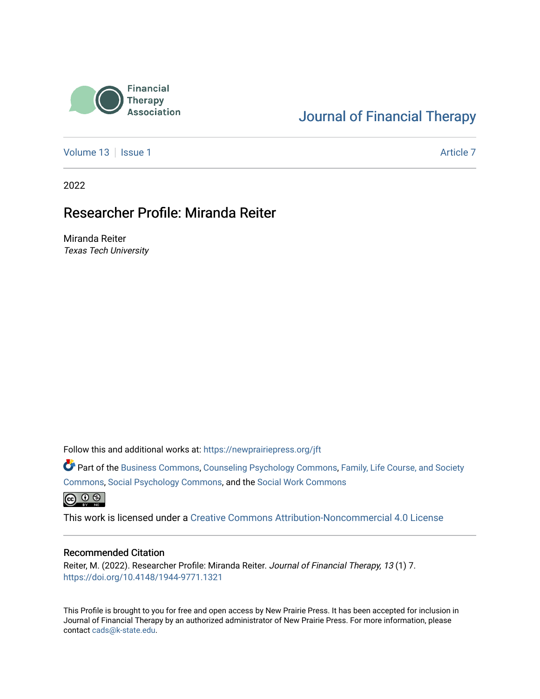

# [Journal of Financial Therapy](https://newprairiepress.org/jft)

[Volume 13](https://newprairiepress.org/jft/vol13) | [Issue 1](https://newprairiepress.org/jft/vol13/iss1) Article 7

2022

# Researcher Profile: Miranda Reiter

Miranda Reiter Texas Tech University

Follow this and additional works at: [https://newprairiepress.org/jft](https://newprairiepress.org/jft?utm_source=newprairiepress.org%2Fjft%2Fvol13%2Fiss1%2F7&utm_medium=PDF&utm_campaign=PDFCoverPages)

Part of the [Business Commons](https://network.bepress.com/hgg/discipline/622?utm_source=newprairiepress.org%2Fjft%2Fvol13%2Fiss1%2F7&utm_medium=PDF&utm_campaign=PDFCoverPages), [Counseling Psychology Commons,](https://network.bepress.com/hgg/discipline/1044?utm_source=newprairiepress.org%2Fjft%2Fvol13%2Fiss1%2F7&utm_medium=PDF&utm_campaign=PDFCoverPages) [Family, Life Course, and Society](https://network.bepress.com/hgg/discipline/419?utm_source=newprairiepress.org%2Fjft%2Fvol13%2Fiss1%2F7&utm_medium=PDF&utm_campaign=PDFCoverPages)  [Commons](https://network.bepress.com/hgg/discipline/419?utm_source=newprairiepress.org%2Fjft%2Fvol13%2Fiss1%2F7&utm_medium=PDF&utm_campaign=PDFCoverPages), [Social Psychology Commons,](https://network.bepress.com/hgg/discipline/414?utm_source=newprairiepress.org%2Fjft%2Fvol13%2Fiss1%2F7&utm_medium=PDF&utm_campaign=PDFCoverPages) and the [Social Work Commons](https://network.bepress.com/hgg/discipline/713?utm_source=newprairiepress.org%2Fjft%2Fvol13%2Fiss1%2F7&utm_medium=PDF&utm_campaign=PDFCoverPages)   $\bigoplus$   $\bigoplus$   $\bigoplus$ 

This work is licensed under a [Creative Commons Attribution-Noncommercial 4.0 License](https://creativecommons.org/licenses/by-nc/4.0/)

#### Recommended Citation

Reiter, M. (2022). Researcher Profile: Miranda Reiter. Journal of Financial Therapy, 13 (1) 7. <https://doi.org/10.4148/1944-9771.1321>

This Profile is brought to you for free and open access by New Prairie Press. It has been accepted for inclusion in Journal of Financial Therapy by an authorized administrator of New Prairie Press. For more information, please contact [cads@k-state.edu](mailto:cads@k-state.edu).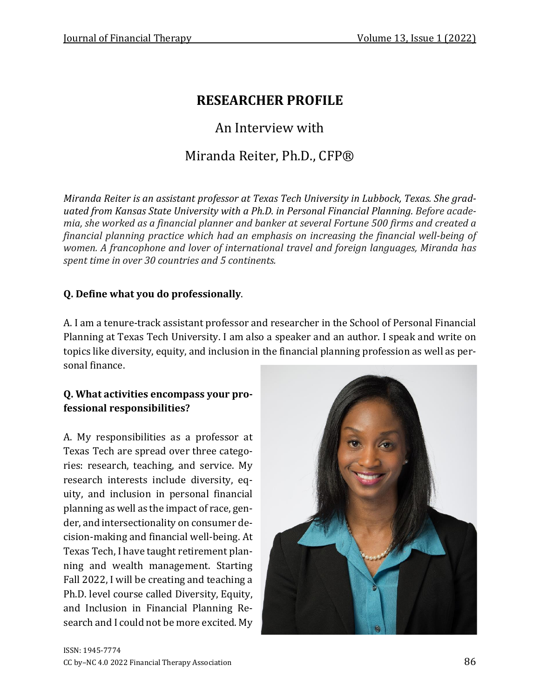# **RESEARCHER PROFILE**

# An Interview with

# Miranda Reiter, Ph.D., CFP®

*Miranda Reiter is an assistant professor at Texas Tech University in Lubbock, Texas. She graduated from Kansas State University with a Ph.D. in Personal Financial Planning. Before academia, she worked as a financial planner and banker at several Fortune 500 firms and created a financial planning practice which had an emphasis on increasing the financial well-being of women. A francophone and lover of international travel and foreign languages, Miranda has spent time in over 30 countries and 5 continents.*

#### **Q. Define what you do professionally**.

A. I am a tenure-track assistant professor and researcher in the School of Personal Financial Planning at Texas Tech University. I am also a speaker and an author. I speak and write on topics like diversity, equity, and inclusion in the financial planning profession as well as personal finance.

#### **Q. What activities encompass your professional responsibilities?**

A. My responsibilities as a professor at Texas Tech are spread over three categories: research, teaching, and service. My research interests include diversity, equity, and inclusion in personal financial planning as well as the impact of race, gender, and intersectionality on consumer decision-making and financial well-being. At Texas Tech, I have taught retirement planning and wealth management. Starting Fall 2022, I will be creating and teaching a Ph.D. level course called Diversity, Equity, and Inclusion in Financial Planning Research and I could not be more excited. My

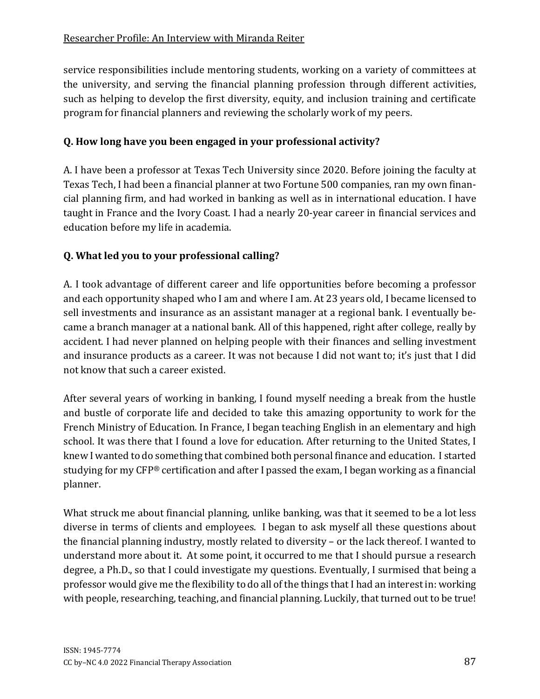service responsibilities include mentoring students, working on a variety of committees at the university, and serving the financial planning profession through different activities, such as helping to develop the first diversity, equity, and inclusion training and certificate program for financial planners and reviewing the scholarly work of my peers.

# **Q. How long have you been engaged in your professional activity?**

A. I have been a professor at Texas Tech University since 2020. Before joining the faculty at Texas Tech, I had been a financial planner at two Fortune 500 companies, ran my own financial planning firm, and had worked in banking as well as in international education. I have taught in France and the Ivory Coast. I had a nearly 20-year career in financial services and education before my life in academia.

# **Q. What led you to your professional calling?**

A. I took advantage of different career and life opportunities before becoming a professor and each opportunity shaped who I am and where I am. At 23 years old, I became licensed to sell investments and insurance as an assistant manager at a regional bank. I eventually became a branch manager at a national bank. All of this happened, right after college, really by accident. I had never planned on helping people with their finances and selling investment and insurance products as a career. It was not because I did not want to; it's just that I did not know that such a career existed.

After several years of working in banking, I found myself needing a break from the hustle and bustle of corporate life and decided to take this amazing opportunity to work for the French Ministry of Education. In France, I began teaching English in an elementary and high school. It was there that I found a love for education. After returning to the United States, I knew I wanted to do something that combined both personal finance and education. I started studying for my CFP® certification and after I passed the exam, I began working as a financial planner.

What struck me about financial planning, unlike banking, was that it seemed to be a lot less diverse in terms of clients and employees. I began to ask myself all these questions about the financial planning industry, mostly related to diversity – or the lack thereof. I wanted to understand more about it. At some point, it occurred to me that I should pursue a research degree, a Ph.D., so that I could investigate my questions. Eventually, I surmised that being a professor would give me the flexibility to do all of the things that I had an interest in: working with people, researching, teaching, and financial planning. Luckily, that turned out to be true!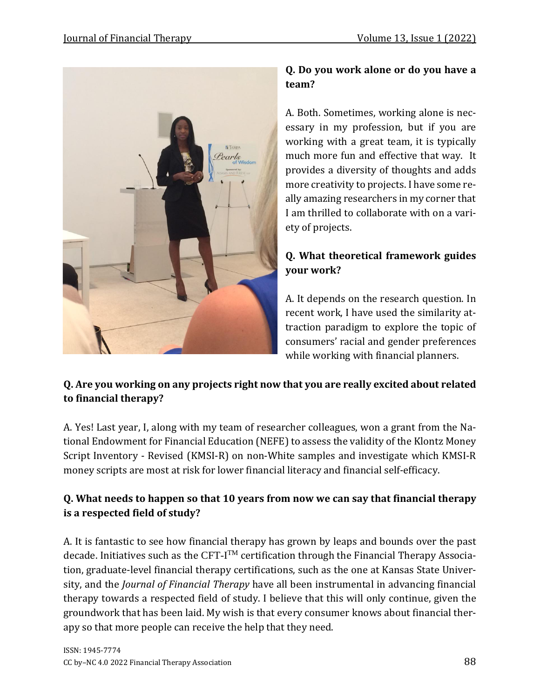

### **Q. Do you work alone or do you have a team?**

A. Both. Sometimes, working alone is necessary in my profession, but if you are working with a great team, it is typically much more fun and effective that way. It provides a diversity of thoughts and adds more creativity to projects. I have some really amazing researchers in my corner that I am thrilled to collaborate with on a variety of projects.

### **Q. What theoretical framework guides your work?**

A. It depends on the research question. In recent work, I have used the similarity attraction paradigm to explore the topic of consumers' racial and gender preferences while working with financial planners.

### **Q. Are you working on any projects right now that you are really excited about related to financial therapy?**

A. Yes! Last year, I, along with my team of researcher colleagues, won a grant from the National Endowment for Financial Education (NEFE) to assess the validity of the Klontz Money Script Inventory - Revised (KMSI-R) on non-White samples and investigate which KMSI-R money scripts are most at risk for lower financial literacy and financial self-efficacy.

# **Q. What needs to happen so that 10 years from now we can say that financial therapy is a respected field of study?**

A. It is fantastic to see how financial therapy has grown by leaps and bounds over the past decade. Initiatives such as the CFT-I<sup>TM</sup> certification through the Financial Therapy Association, graduate-level financial therapy certifications, such as the one at Kansas State University, and the *Journal of Financial Therapy* have all been instrumental in advancing financial therapy towards a respected field of study. I believe that this will only continue, given the groundwork that has been laid. My wish is that every consumer knows about financial therapy so that more people can receive the help that they need.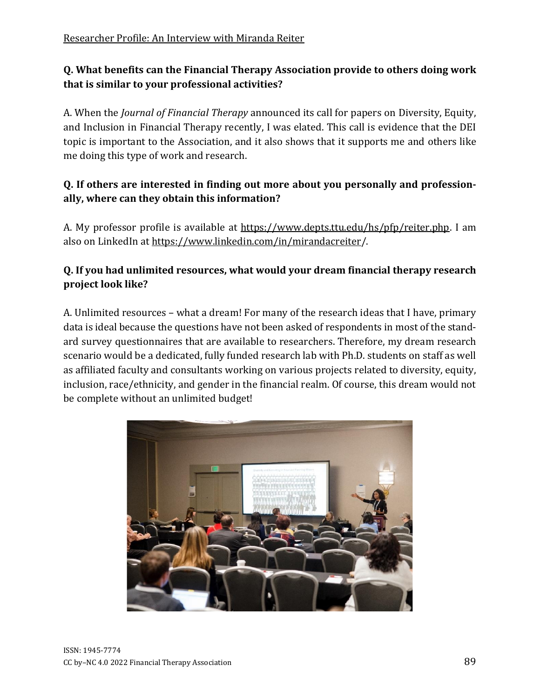#### **Q. What benefits can the Financial Therapy Association provide to others doing work that is similar to your professional activities?**

A. When the *Journal of Financial Therapy* announced its call for papers on Diversity, Equity, and Inclusion in Financial Therapy recently, I was elated. This call is evidence that the DEI topic is important to the Association, and it also shows that it supports me and others like me doing this type of work and research.

#### **Q. If others are interested in finding out more about you personally and professionally, where can they obtain this information?**

A. My professor profile is available at [https://www.depts.ttu.edu/hs/pfp/reiter.php.](https://www.depts.ttu.edu/hs/pfp/reiter.php) I am also on LinkedIn at <https://www.linkedin.com/in/mirandacreiter/>.

#### **Q. If you had unlimited resources, what would your dream financial therapy research project look like?**

A. Unlimited resources – what a dream! For many of the research ideas that I have, primary data is ideal because the questions have not been asked of respondents in most of the standard survey questionnaires that are available to researchers. Therefore, my dream research scenario would be a dedicated, fully funded research lab with Ph.D. students on staff as well as affiliated faculty and consultants working on various projects related to diversity, equity, inclusion, race/ethnicity, and gender in the financial realm. Of course, this dream would not be complete without an unlimited budget!